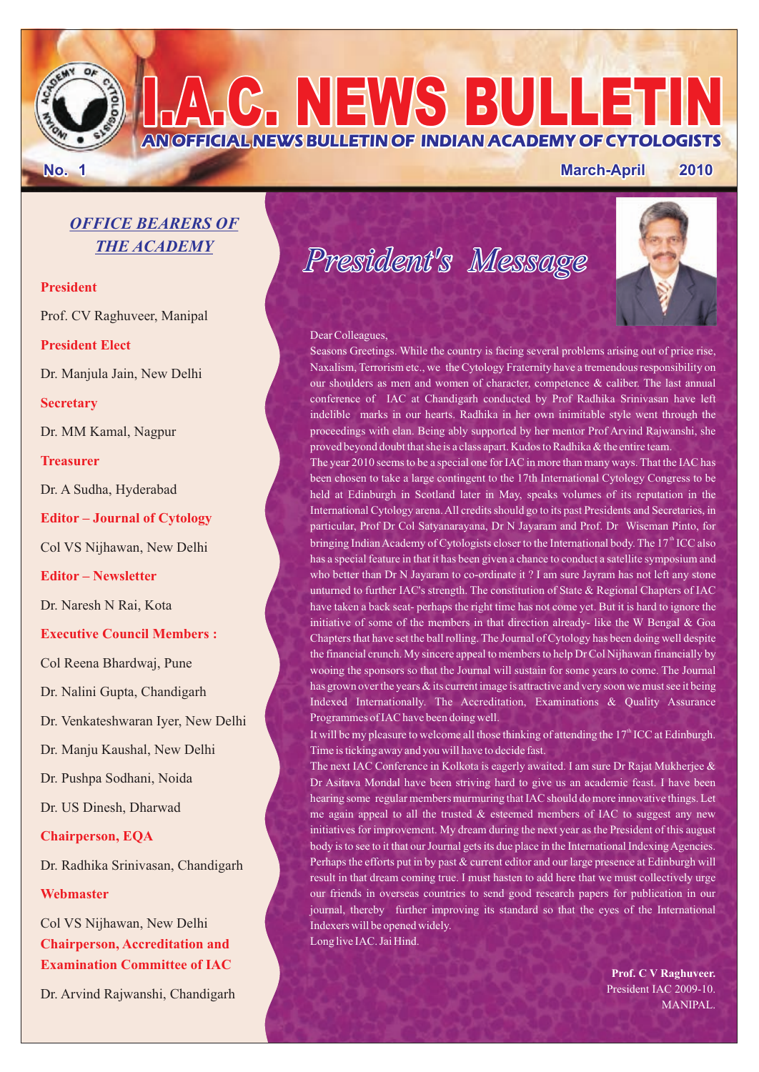**AN OFFICIAL NEWS BULLETIN OF INDIAN ACADEMY OF CYTOLOGISTS**

### **No. 1 March-April 2010**

### *OFFICE BEARERS OF THE ACADEMY*

### **President**

Prof. CV Raghuveer, Manipal

### **President Elect**

Dr. Manjula Jain, New Delhi

### **Secretary**

Dr. MM Kamal, Nagpur

### **Treasurer**

Dr. A Sudha, Hyderabad

**Editor – Journal of Cytology**

Col VS Nijhawan, New Delhi

**Editor – Newsletter**

Dr. Naresh N Rai, Kota

### **Executive Council Members :**

Col Reena Bhardwaj, Pune

Dr. Nalini Gupta, Chandigarh

Dr. Venkateshwaran Iyer, New Delhi

Dr. Manju Kaushal, New Delhi

Dr. Pushpa Sodhani, Noida

Dr. US Dinesh, Dharwad

### **Chairperson, EQA**

Dr. Radhika Srinivasan, Chandigarh

### **Webmaster**

**Chairperson, Accreditation and Examination Committee of IAC**  Col VS Nijhawan, New Delhi

Dr. Arvind Rajwanshi, Chandigarh

*President's Message*

**I.A.C. NEWS BULLETIN**



#### Dear Colleagues,

Seasons Greetings. While the country is facing several problems arising out of price rise, Naxalism, Terrorism etc., we the Cytology Fraternity have a tremendous responsibility on our shoulders as men and women of character, competence & caliber. The last annual conference of IAC at Chandigarh conducted by Prof Radhika Srinivasan have left indelible marks in our hearts. Radhika in her own inimitable style went through the proceedings with elan. Being ably supported by her mentor Prof Arvind Rajwanshi, she proved beyond doubt that she is a class apart. Kudos to Radhika & the entire team.

The year 2010 seems to be a special one for IAC in more than many ways. That the IAC has been chosen to take a large contingent to the 17th International Cytology Congress to be held at Edinburgh in Scotland later in May, speaks volumes of its reputation in the International Cytology arena. All credits should go to its past Presidents and Secretaries, in particular, Prof Dr Col Satyanarayana, Dr N Jayaram and Prof. Dr Wiseman Pinto, for bringing Indian Academy of Cytologists closer to the International body. The  $17<sup>th</sup>$  ICC also has a special feature in that it has been given a chance to conduct a satellite symposium and who better than Dr N Jayaram to co-ordinate it ? I am sure Jayram has not left any stone unturned to further IAC's strength. The constitution of State & Regional Chapters of IAC have taken a back seat- perhaps the right time has not come yet. But it is hard to ignore the initiative of some of the members in that direction already- like the W Bengal & Goa Chapters that have set the ball rolling. The Journal of Cytology has been doing well despite the financial crunch. My sincere appeal to members to help Dr Col Nijhawan financially by wooing the sponsors so that the Journal will sustain for some years to come. The Journal has grown over the years & its current image is attractive and very soon we must see it being Indexed Internationally. The Accreditation, Examinations & Quality Assurance Programmes of IAC have been doing well.

It will be my pleasure to welcome all those thinking of attending the  $17<sup>th</sup>$  ICC at Edinburgh. Time is ticking away and you will have to decide fast.

The next IAC Conference in Kolkota is eagerly awaited. I am sure Dr Rajat Mukherjee & Dr Asitava Mondal have been striving hard to give us an academic feast. I have been hearing some regular members murmuring that IAC should do more innovative things. Let me again appeal to all the trusted  $\&$  esteemed members of IAC to suggest any new initiatives for improvement. My dream during the next year as the President of this august body is to see to it that our Journal gets its due place in the International Indexing Agencies. Perhaps the efforts put in by past & current editor and our large presence at Edinburgh will result in that dream coming true. I must hasten to add here that we must collectively urge our friends in overseas countries to send good research papers for publication in our journal, thereby further improving its standard so that the eyes of the International Indexers will be opened widely. Long live IAC. Jai Hind.

> **Prof. C V Raghuveer.** President IAC 2009-10. MANIPAL.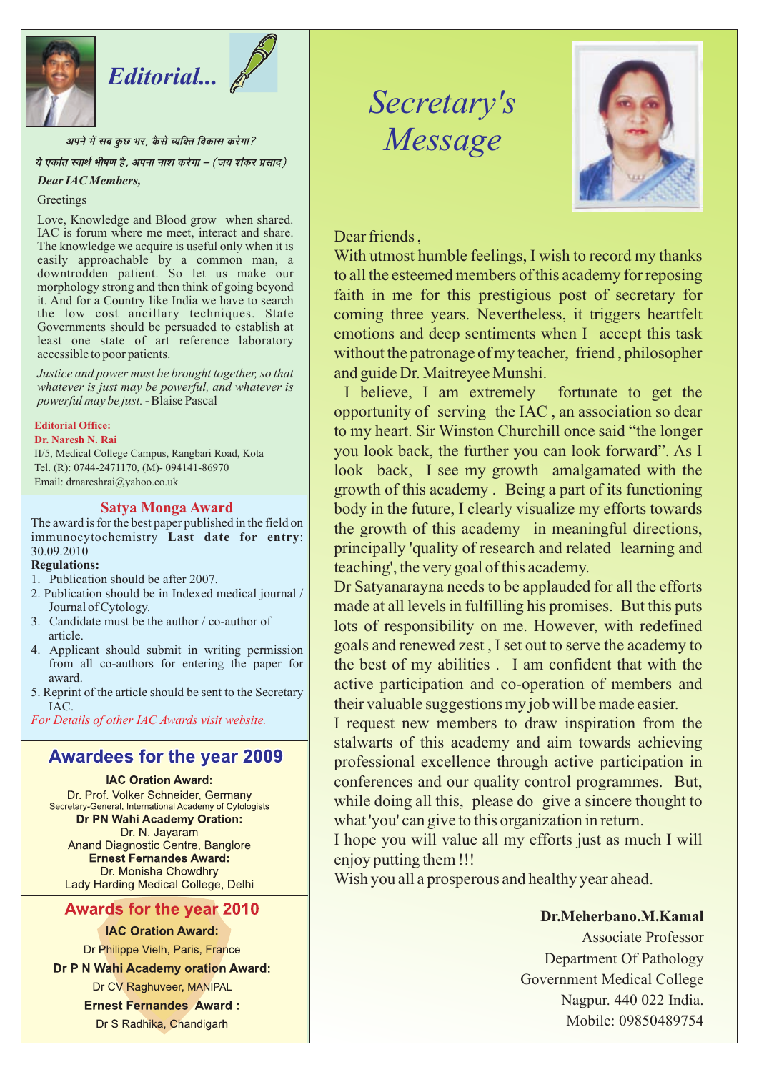

# *Editorial...*

अपने में सब कुछ भर, कैसे व्यक्ति विकास करेगा?

ये एकांत स्वार्थ भीषण है, अपना नाश करेगा – (जय शंकर प्रसाद)

#### *Dear IAC Members,*

### **Greetings**

Love, Knowledge and Blood grow when shared. IAC is forum where me meet, interact and share. The knowledge we acquire is useful only when it is easily approachable by a common man, a downtrodden patient. So let us make our morphology strong and then think of going beyond it. And for a Country like India we have to search the low cost ancillary techniques. State Governments should be persuaded to establish at least one state of art reference laboratory accessible to poor patients.

*Justice and power must be brought together, so that whatever is just may be powerful, and whatever is powerful may be just.* - Blaise Pascal

**Editorial Office:**

**Dr. Naresh N. Rai**

II/5, Medical College Campus, Rangbari Road, Kota Tel. (R): 0744-2471170, (M)- 094141-86970 Email: drnareshrai@yahoo.co.uk

### **Satya Monga Award**

The award is for the best paper published in the field on immunocytochemistry **Last date for entry**: 30.09.2010

### **Regulations:**

- 1. Publication should be after 2007.
- 2. Publication should be in Indexed medical journal / Journal of Cytology.
- 3. Candidate must be the author / co-author of article.
- 4. Applicant should submit in writing permission from all co-authors for entering the paper for award.
- 5. Reprint of the article should be sent to the Secretary IAC.

*For Details of other IAC Awards visit website.*

### **Awardees for the year 2009**

### **IAC Oration Award:**

Dr. Prof. Volker Schneider, Germany Secretary-General, International Academy of Cytologists **Dr PN Wahi Academy Oration:** Dr. N. Jayaram Anand Diagnostic Centre, Banglore **Ernest Fernandes Award:** Dr. Monisha Chowdhry Lady Harding Medical College, Delhi

### **Awards for the year 2010**

### **IAC Oration Award:**

Dr Philippe Vielh, Paris, France

Dr P N Wahi Academy oration Award: Dr CV Raghuveer, MANIPAL

**Ernest Fernandes Award:** 

Dr S Radhika, Chandigarh

## *Secretary's Message*



Dear friends ,

With utmost humble feelings, I wish to record my thanks to all the esteemed members of this academy for reposing faith in me for this prestigious post of secretary for coming three years. Nevertheless, it triggers heartfelt emotions and deep sentiments when I accept this task without the patronage of my teacher, friend , philosopher and guide Dr. Maitreyee Munshi.

 I believe, I am extremely fortunate to get the opportunity of serving the IAC , an association so dear to my heart. Sir Winston Churchill once said "the longer you look back, the further you can look forward". As I look back, I see my growth amalgamated with the growth of this academy . Being a part of its functioning body in the future, I clearly visualize my efforts towards the growth of this academy in meaningful directions, principally 'quality of research and related learning and teaching', the very goal of this academy.

Dr Satyanarayna needs to be applauded for all the efforts made at all levels in fulfilling his promises. But this puts lots of responsibility on me. However, with redefined goals and renewed zest , I set out to serve the academy to the best of my abilities . I am confident that with the active participation and co-operation of members and their valuable suggestions my job will be made easier.

I request new members to draw inspiration from the stalwarts of this academy and aim towards achieving professional excellence through active participation in conferences and our quality control programmes. But, while doing all this, please do give a sincere thought to what 'you' can give to this organization in return.

I hope you will value all my efforts just as much I will enjoy putting them !!!

Wish you all a prosperous and healthy year ahead.

### **Dr.Meherbano.M.Kamal**

Associate Professor Department Of Pathology Government Medical College Nagpur. 440 022 India. Mobile: 09850489754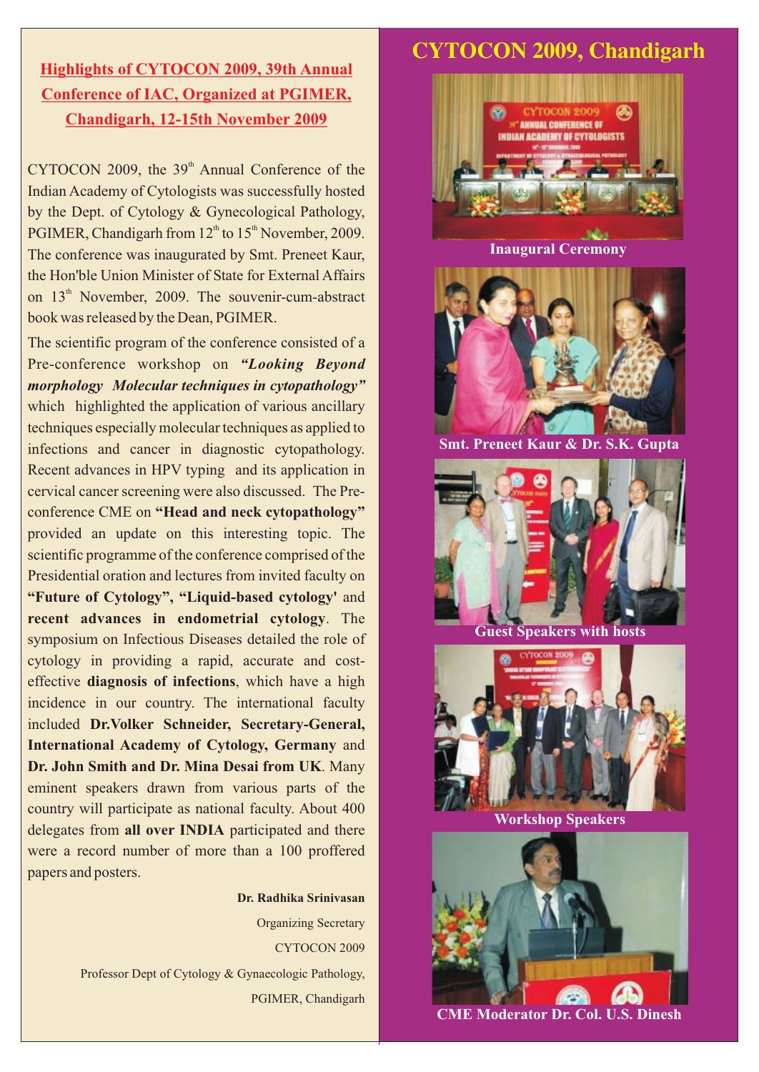### **Highlights of CYTOCON 2009, 39th Annual Conference of IAC, Organized at PGIMER, Chandigarh, 12-15th November 2009**

 $CYTOCON 2009$ , the  $39<sup>th</sup>$  Annual Conference of the Indian Academy of Cytologists was successfully hosted by the Dept. of Cytology & Gynecological Pathology, PGIMER, Chandigarh from  $12<sup>th</sup>$  to  $15<sup>th</sup>$  November, 2009. The conference was inaugurated by Smt. Preneet Kaur, the Hon'ble Union Minister of State for External Affairs on  $13<sup>th</sup>$  November, 2009. The souvenir-cum-abstract book was released by the Dean, PGIMER.

The scientific program of the conference consisted of a Pre-conference workshop on *"Looking Beyond morphology Molecular techniques in cytopathology"* which highlighted the application of various ancillary techniques especially molecular techniques as applied to infections and cancer in diagnostic cytopathology. Recent advances in HPV typing and its application in cervical cancer screening were also discussed. The Preconference CME on **"Head and neck cytopathology"** provided an update on this interesting topic. The scientific programme of the conference comprised of the Presidential oration and lectures from invited faculty on **"Future of Cytology", "Liquid-based cytology'** and **recent advances in endometrial cytology**. The symposium on Infectious Diseases detailed the role of cytology in providing a rapid, accurate and costeffective **diagnosis of infections**, which have a high incidence in our country. The international faculty included **Dr.Volker Schneider, Secretary-General, International Academy of Cytology, Germany** and **Dr. John Smith and Dr. Mina Desai from UK**. Many eminent speakers drawn from various parts of the country will participate as national faculty. About 400 delegates from **all over INDIA** participated and there were a record number of more than a 100 proffered papers and posters.

### **Dr. Radhika Srinivasan** Organizing Secretary CYTOCON 2009 Professor Dept of Cytology & Gynaecologic Pathology, PGIMER, Chandigarh

### **CYTOCON 2009, Chandigarh**



**Inaugural Ceremony** 



**Smt. Preneet Kaur & Dr. S.K. Gupta** 



**Workshop Speakers**



**CME Moderator Dr. Col. U.S. Dinesh**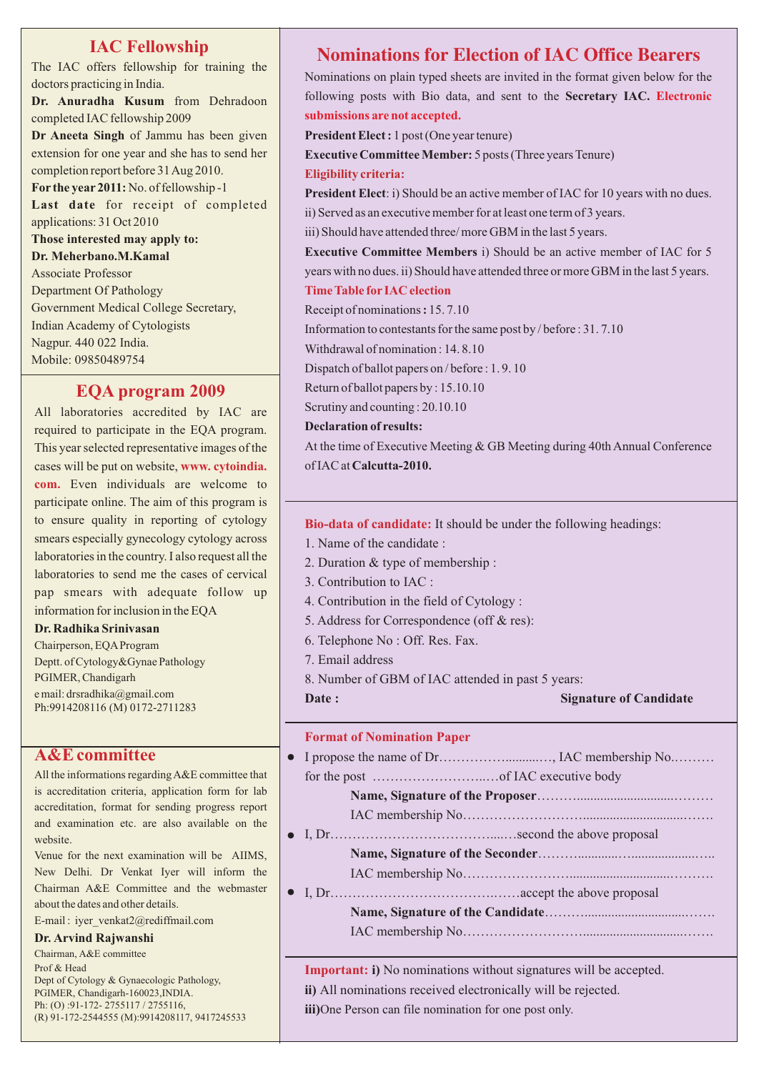The IAC offers fellowship for training the doctors practicing in India. **Dr. Anuradha Kusum** from Dehradoon completed IAC fellowship 2009 **Dr Aneeta Singh** of Jammu has been given extension for one year and she has to send her completion report before 31 Aug 2010. **For the year 2011:** No. of fellowship -1 **Last date** for receipt of completed applications: 31 Oct 2010 **Those interested may apply to: Dr. Meherbano.M.Kamal** Associate Professor Department Of Pathology Government Medical College Secretary, Indian Academy of Cytologists Nagpur. 440 022 India. Mobile: 09850489754

### **EQA program 2009**

cases will be put on website, www. cytoindia. **com.**  Even individuals are welcome to All laboratories accredited by IAC are required to participate in the EQA program. This year selected representative images of the participate online. The aim of this program is to ensure quality in reporting of cytology smears especially gynecology cytology across laboratories in the country. I also request all the laboratories to send me the cases of cervical pap smears with adequate follow up information for inclusion in the EQA

#### **Dr. Radhika Srinivasan**

Chairperson, EQA Program Deptt. of Cytology&Gynae Pathology PGIMER, Chandigarh e mail: drsradhika@gmail.com Ph:9914208116 (M) 0172-2711283

### **A&E committee**

All the informations regarding A&E committee that is accreditation criteria, application form for lab accreditation, format for sending progress report and examination etc. are also available on the website.

Venue for the next examination will be AIIMS, New Delhi. Dr Venkat Iyer will inform the Chairman A&E Committee and the webmaster about the dates and other details.

E-mail : iyer\_venkat2@rediffmail.com

### **Dr. Arvind Rajwanshi**

Chairman, A&E committee Prof & Head Dept of Cytology & Gynaecologic Pathology, PGIMER, Chandigarh-160023,INDIA. Ph: (O) :91-172- 2755117 / 2755116, (R) 91-172-2544555 (M):9914208117, 9417245533

### **Nominations for Election of IAC Office Bearers**

Nominations on plain typed sheets are invited in the format given below for the following posts with Bio data, and sent to the **Secretary IAC. Electronic submissions are not accepted.**

**President Elect :** 1 post (One year tenure)

**Executive Committee Member:** 5 posts (Three years Tenure)

**Eligibility criteria:**

**President Elect**: i) Should be an active member of IAC for 10 years with no dues. ii) Served as an executive member for at least one term of 3 years.

iii) Should have attended three/ more GBM in the last 5 years.

**Executive Committee Members** i) Should be an active member of IAC for 5 years with no dues. ii) Should have attended three or more GBM in the last 5 years. **Time Table for IAC election**

Receipt of nominations **:** 15. 7.10

Information to contestants for the same post by / before : 31. 7.10

Withdrawal of nomination : 14. 8.10

Dispatch of ballot papers on / before : 1. 9. 10

Return of ballot papers by : 15.10.10

Scrutiny and counting : 20.10.10

**Declaration of results:**

At the time of Executive Meeting & GB Meeting during 40th Annual Conference of IAC at **Calcutta-2010.**

**Bio-data of candidate:**  It should be under the following headings:

- 1. Name of the candidate :
- 2. Duration & type of membership :
- 3. Contribution to IAC :
- 4. Contribution in the field of Cytology :
- 5. Address for Correspondence (off & res):
- 6. Telephone No : Off. Res. Fax.
- 7. Email address
- 8. Number of GBM of IAC attended in past 5 years:

**Date :** Signature of Candidate

### **Format of Nomination Paper**

- I propose the name of Dr……………..........…, IAC membership No.……… for the post ……………………..…of IAC executive body
	- **Name, Signature of the Proposer**……….............................………
- IAC membership No………………………..............................……. I, Dr………………………………....…second the above proposal
	- **Name, Signature of the Seconder**………............…...................…..
	- IAC membership No……………………..............................……….
- I, Dr……………………………….……accept the above proposal **Name, Signature of the Candidate**………..............................……. IAC membership No………………………..............................…….

Important: i) No nominations without signatures will be accepted. All nominations received electronically will be rejected. **ii)**  iii)One Person can file nomination for one post only.